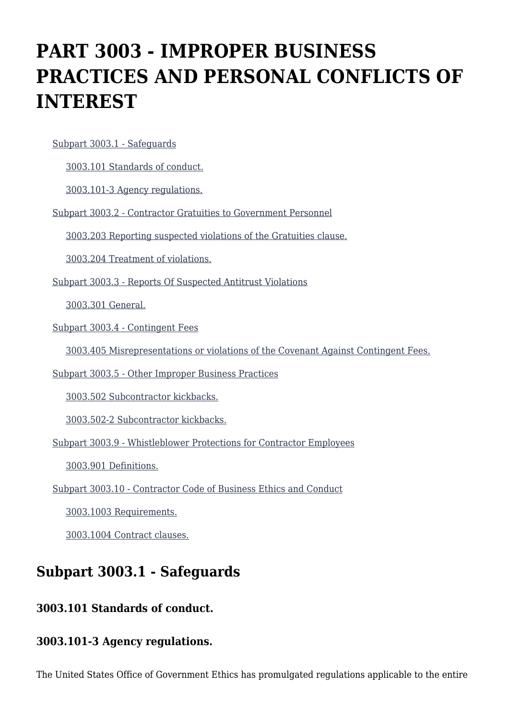# **PART 3003 - IMPROPER BUSINESS PRACTICES AND PERSONAL CONFLICTS OF INTEREST**

[Subpart 3003.1 - Safeguards](https://origin-www.acquisition.gov/%5Brp:link:hsar-part-3003%5D#Subpart_3003_1_T48_702841)

[3003.101 Standards of conduct.](https://origin-www.acquisition.gov/%5Brp:link:hsar-part-3003%5D#Section_3003_101_T48_70284111)

[3003.101-3 Agency regulations.](https://origin-www.acquisition.gov/%5Brp:link:hsar-part-3003%5D#Section_3003_101_3_T48_70284112)

[Subpart 3003.2 - Contractor Gratuities to Government Personnel](https://origin-www.acquisition.gov/%5Brp:link:hsar-part-3003%5D#Subpart_3003_2_T48_702842)

[3003.203 Reporting suspected violations of the Gratuities clause.](https://origin-www.acquisition.gov/%5Brp:link:hsar-part-3003%5D#Section_3003_203_T48_70284211)

[3003.204 Treatment of violations.](https://origin-www.acquisition.gov/%5Brp:link:hsar-part-3003%5D#Section_3003_204_T48_70284212)

[Subpart 3003.3 - Reports Of Suspected Antitrust Violations](https://origin-www.acquisition.gov/%5Brp:link:hsar-part-3003%5D#Subpart_3003_3_T48_702843)

[3003.301 General.](https://origin-www.acquisition.gov/%5Brp:link:hsar-part-3003%5D#Section_3003_301_T48_70284311)

[Subpart 3003.4 - Contingent Fees](https://origin-www.acquisition.gov/%5Brp:link:hsar-part-3003%5D#Subpart_3003_4_T48_702844)

[3003.405 Misrepresentations or violations of the Covenant Against Contingent Fees.](https://origin-www.acquisition.gov/%5Brp:link:hsar-part-3003%5D#Section_3003_405_T48_70284411)

[Subpart 3003.5 - Other Improper Business Practices](https://origin-www.acquisition.gov/%5Brp:link:hsar-part-3003%5D#Subpart_3003_5_T48_702845)

[3003.502 Subcontractor kickbacks.](https://origin-www.acquisition.gov/%5Brp:link:hsar-part-3003%5D#Section_3003_502_T48_70284511)

[3003.502-2 Subcontractor kickbacks.](https://origin-www.acquisition.gov/%5Brp:link:hsar-part-3003%5D#Section_3003_502_2_T48_70284512)

[Subpart 3003.9 - Whistleblower Protections for Contractor Employees](https://origin-www.acquisition.gov/%5Brp:link:hsar-part-3003%5D#Subpart_3003_9_T48_702846)

[3003.901 Definitions.](https://origin-www.acquisition.gov/%5Brp:link:hsar-part-3003%5D#Section_3003_901_T48_70284611)

[Subpart 3003.10 - Contractor Code of Business Ethics and Conduct](https://origin-www.acquisition.gov/%5Brp:link:hsar-part-3003%5D#Subpart_3003_10_T48_702847)

[3003.1003 Requirements.](https://origin-www.acquisition.gov/%5Brp:link:hsar-part-3003%5D#Section_3003_1003_T48_70284711)

[3003.1004 Contract clauses.](https://origin-www.acquisition.gov/%5Brp:link:hsar-part-3003%5D#Section_3003_1004_T48_70284712)

# **Subpart 3003.1 - Safeguards**

### **3003.101 Standards of conduct.**

#### **3003.101-3 Agency regulations.**

The United States Office of Government Ethics has promulgated regulations applicable to the entire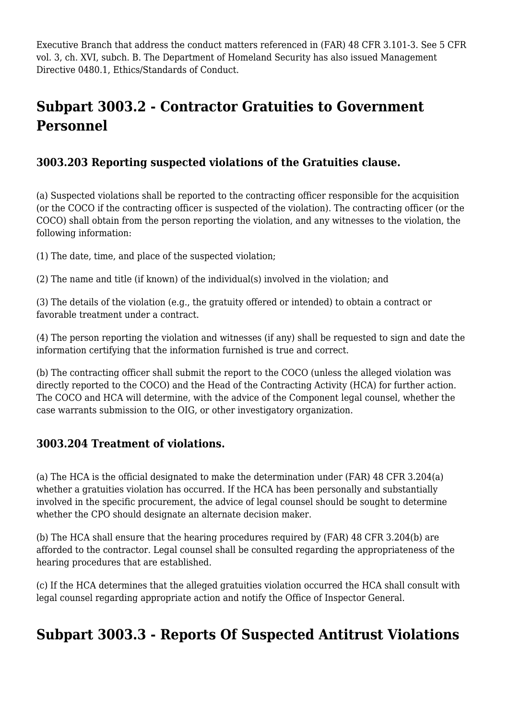Executive Branch that address the conduct matters referenced in (FAR) 48 CFR 3.101-3. See 5 CFR vol. 3, ch. XVI, subch. B. The Department of Homeland Security has also issued Management Directive 0480.1, Ethics/Standards of Conduct.

# **Subpart 3003.2 - Contractor Gratuities to Government Personnel**

#### **3003.203 Reporting suspected violations of the Gratuities clause.**

(a) Suspected violations shall be reported to the contracting officer responsible for the acquisition (or the COCO if the contracting officer is suspected of the violation). The contracting officer (or the COCO) shall obtain from the person reporting the violation, and any witnesses to the violation, the following information:

(1) The date, time, and place of the suspected violation;

(2) The name and title (if known) of the individual(s) involved in the violation; and

(3) The details of the violation (e.g., the gratuity offered or intended) to obtain a contract or favorable treatment under a contract.

(4) The person reporting the violation and witnesses (if any) shall be requested to sign and date the information certifying that the information furnished is true and correct.

(b) The contracting officer shall submit the report to the COCO (unless the alleged violation was directly reported to the COCO) and the Head of the Contracting Activity (HCA) for further action. The COCO and HCA will determine, with the advice of the Component legal counsel, whether the case warrants submission to the OIG, or other investigatory organization.

#### **3003.204 Treatment of violations.**

(a) The HCA is the official designated to make the determination under (FAR) 48 CFR 3.204(a) whether a gratuities violation has occurred. If the HCA has been personally and substantially involved in the specific procurement, the advice of legal counsel should be sought to determine whether the CPO should designate an alternate decision maker.

(b) The HCA shall ensure that the hearing procedures required by (FAR) 48 CFR 3.204(b) are afforded to the contractor. Legal counsel shall be consulted regarding the appropriateness of the hearing procedures that are established.

(c) If the HCA determines that the alleged gratuities violation occurred the HCA shall consult with legal counsel regarding appropriate action and notify the Office of Inspector General.

# **Subpart 3003.3 - Reports Of Suspected Antitrust Violations**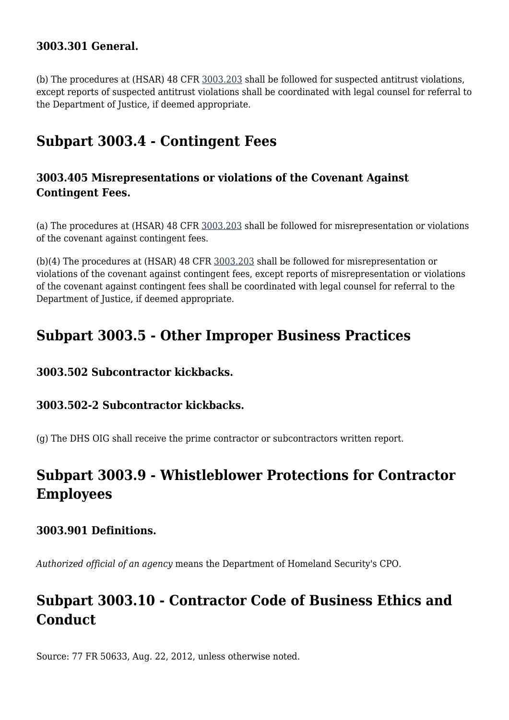#### **3003.301 General.**

(b) The procedures at (HSAR) 48 CFR [3003.203](https://origin-www.acquisition.gov/%5Brp:link:hsar-part-3003%5D#Section_3003_203_T48_70284211) shall be followed for suspected antitrust violations, except reports of suspected antitrust violations shall be coordinated with legal counsel for referral to the Department of Justice, if deemed appropriate.

### **Subpart 3003.4 - Contingent Fees**

#### **3003.405 Misrepresentations or violations of the Covenant Against Contingent Fees.**

(a) The procedures at (HSAR) 48 CFR [3003.203](https://origin-www.acquisition.gov/%5Brp:link:hsar-part-3003%5D#Section_3003_203_T48_70284211) shall be followed for misrepresentation or violations of the covenant against contingent fees.

(b)(4) The procedures at (HSAR) 48 CFR [3003.203](https://origin-www.acquisition.gov/%5Brp:link:hsar-part-3003%5D#Section_3003_203_T48_70284211) shall be followed for misrepresentation or violations of the covenant against contingent fees, except reports of misrepresentation or violations of the covenant against contingent fees shall be coordinated with legal counsel for referral to the Department of Justice, if deemed appropriate.

### **Subpart 3003.5 - Other Improper Business Practices**

#### **3003.502 Subcontractor kickbacks.**

#### **3003.502-2 Subcontractor kickbacks.**

(g) The DHS OIG shall receive the prime contractor or subcontractors written report.

## **Subpart 3003.9 - Whistleblower Protections for Contractor Employees**

#### **3003.901 Definitions.**

*Authorized official of an agency* means the Department of Homeland Security's CPO.

# **Subpart 3003.10 - Contractor Code of Business Ethics and Conduct**

Source: 77 FR 50633, Aug. 22, 2012, unless otherwise noted.